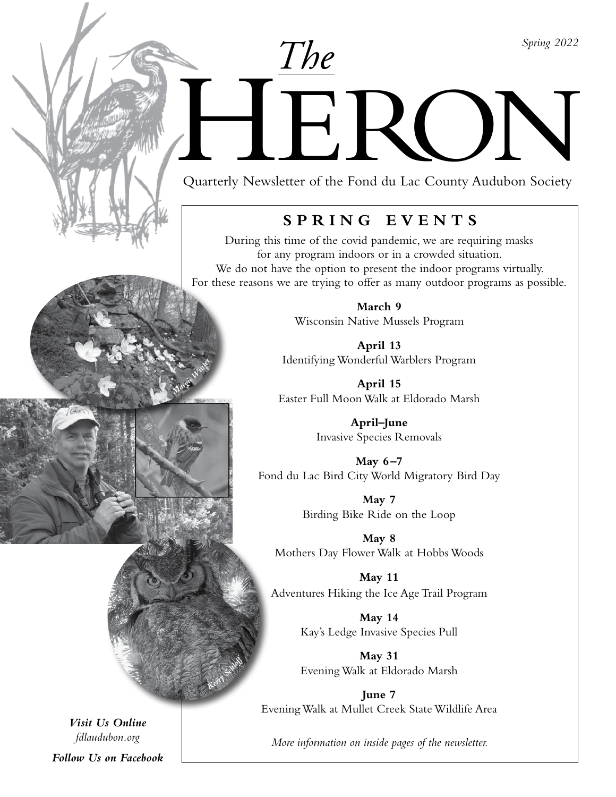*Spring 2022*

Duarterly Newsletter of the Fond du Lac County Audubon Society

*The*

Quarterly Newsletter of the Fond du Lac County Audubon Society

# **SPRING EVENTS**

During this time of the covid pandemic, we are requiring masks for any program indoors or in a crowded situation. We do not have the option to present the indoor programs virtually. For these reasons we are trying to offer as many outdoor programs as possible.

> **March 9** Wisconsin Native Mussels Program

**April 13**  Identifying Wonderful Warblers Program

**April 15** Easter Full Moon Walk at Eldorado Marsh

> **April–June** Invasive Species Removals

**May 6–7** Fond du Lac Bird City World Migratory Bird Day

> **May 7** Birding Bike Ride on the Loop

**May 8** Mothers Day Flower Walk at Hobbs Woods

**May 11** Adventures Hiking the Ice Age Trail Program

> **May 14** Kay's Ledge Invasive Species Pull

> **May 31** Evening Walk at Eldorado Marsh

**June 7** Evening Walk at Mullet Creek State Wildlife Area

*More information on inside pages of the newsletter.*

*Visit Us Online fdlaudubon.org*

*Ma<sup>r</sup>gi<sup>e</sup>W<sup>i</sup>nte<sup>r</sup>*

*Ker<sup>r</sup><sup>y</sup> <sup>S</sup><sup>e</sup>hl<sup>o</sup>f<sup>f</sup>*

*Follow Us on Facebook*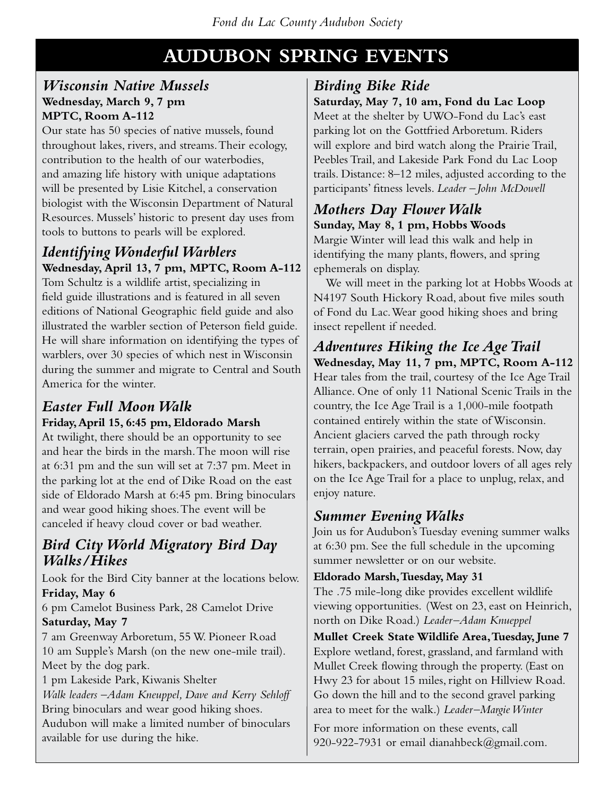# **AUDUBON SPRING EVENTS**

#### *Wisconsin Native Mussels* **Wednesday, March 9, 7 pm MPTC, Room A-112**

Our state has 50 species of native mussels, found throughout lakes, rivers, and streams. Their ecology, contribution to the health of our waterbodies, and amazing life history with unique adaptations will be presented by Lisie Kitchel, a conservation biologist with the Wisconsin Department of Natural Resources. Mussels' historic to present day uses from tools to buttons to pearls will be explored.

### *Identifying Wonderful Warblers* **Wednesday, April 13, 7 pm, MPTC, Room A-112**

Tom Schultz is a wildlife artist, specializing in field guide illustrations and is featured in all seven editions of National Geographic field guide and also illustrated the warbler section of Peterson field guide. He will share information on identifying the types of warblers, over 30 species of which nest in Wisconsin during the summer and migrate to Central and South America for the winter.

### *Easter Full Moon Walk*  **Friday, April 15, 6:45 pm, Eldorado Marsh**

At twilight, there should be an opportunity to see and hear the birds in the marsh. The moon will rise at 6:31 pm and the sun will set at 7:37 pm. Meet in the parking lot at the end of Dike Road on the east side of Eldorado Marsh at 6:45 pm. Bring binoculars and wear good hiking shoes. The event will be canceled if heavy cloud cover or bad weather.

## *Bird City World Migratory Bird Day Walks/Hikes*

Look for the Bird City banner at the locations below. **Friday, May 6**

6 pm Camelot Business Park, 28 Camelot Drive **Saturday, May 7**

7 am Greenway Arboretum, 55 W. Pioneer Road 10 am Supple's Marsh (on the new one-mile trail). Meet by the dog park.

1 pm Lakeside Park, Kiwanis Shelter *Walk leaders –Adam Kneuppel, Dave and Kerry Sehloff* Bring binoculars and wear good hiking shoes. Audubon will make a limited number of binoculars available for use during the hike.

# *Birding Bike Ride*

**Saturday, May 7, 10 am, Fond du Lac Loop**

Meet at the shelter by UWO-Fond du Lac's east parking lot on the Gottfried Arboretum. Riders will explore and bird watch along the Prairie Trail, Peebles Trail, and Lakeside Park Fond du Lac Loop trails. Distance: 8–12 miles, adjusted according to the participants' fitness levels. *Leader –John McDowell*

#### *Mothers Day Flower Walk* **Sunday, May 8, 1 pm, Hobbs Woods**

Margie Winter will lead this walk and help in identifying the many plants, flowers, and spring ephemerals on display.

We will meet in the parking lot at Hobbs Woods at N4197 South Hickory Road, about five miles south of Fond du Lac. Wear good hiking shoes and bring insect repellent if needed.

*Adventures Hiking the Ice Age Trail* **Wednesday, May 11, 7 pm, MPTC, Room A-112** Hear tales from the trail, courtesy of the Ice Age Trail Alliance. One of only 11 National Scenic Trails in the country, the Ice Age Trail is a 1,000-mile footpath contained entirely within the state of Wisconsin. Ancient glaciers carved the path through rocky terrain, open prairies, and peaceful forests. Now, day hikers, backpackers, and outdoor lovers of all ages rely on the Ice Age Trail for a place to unplug, relax, and enjoy nature.

### *Summer Evening Walks*

Join us for Audubon's Tuesday evening summer walks at 6:30 pm. See the full schedule in the upcoming summer newsletter or on our website.

#### **Eldorado Marsh, Tuesday, May 31**

The .75 mile-long dike provides excellent wildlife viewing opportunities. (West on 23, east on Heinrich, north on Dike Road.) *Leader –Adam Knueppel* 

**Mullet Creek State Wildlife Area, Tuesday, June 7** Explore wetland, forest, grassland, and farmland with Mullet Creek flowing through the property. (East on Hwy 23 for about 15 miles, right on Hillview Road. Go down the hill and to the second gravel parking area to meet for the walk.) *Leader –Margie Winter*

For more information on these events, call 920-922-7931 or email dianahbeck@gmail.com.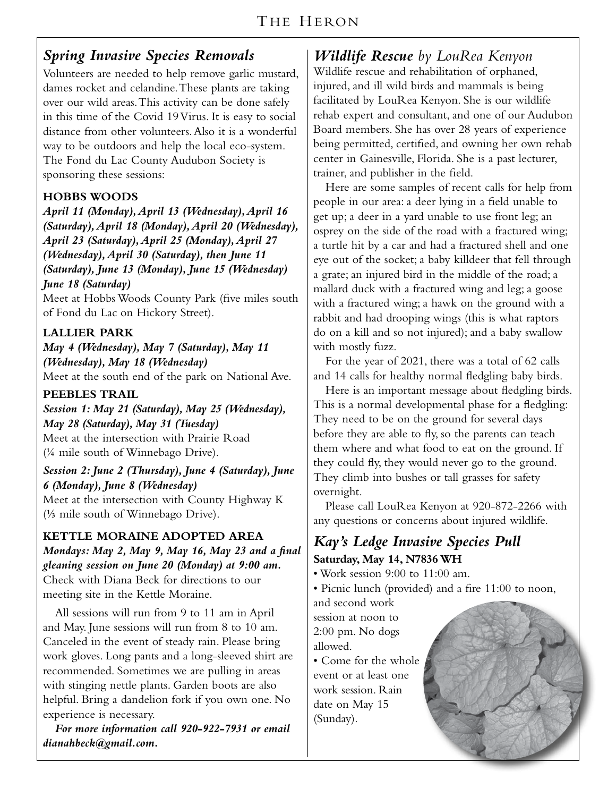### *Spring Invasive Species Removals*

Volunteers are needed to help remove garlic mustard, dames rocket and celandine. These plants are taking over our wild areas. This activity can be done safely in this time of the Covid 19 Virus. It is easy to social distance from other volunteers. Also it is a wonderful way to be outdoors and help the local eco-system. The Fond du Lac County Audubon Society is sponsoring these sessions:

#### **HOBBS WOODS**

*April 11 (Monday), April 13 (Wednesday), April 16 (Saturday), April 18 (Monday), April 20 (Wednesday), April 23 (Saturday), April 25 (Monday), April 27 (Wednesday), April 30 (Saturday), then June 11 (Saturday), June 13 (Monday), June 15 (Wednesday) June 18 (Saturday)*

Meet at Hobbs Woods County Park (five miles south of Fond du Lac on Hickory Street).

#### **LALLIER PARK**

*May 4 (Wednesday), May 7 (Saturday), May 11 (Wednesday), May 18 (Wednesday)* Meet at the south end of the park on National Ave.

#### **PEEBLES TRAIL**

*Session 1: May 21 (Saturday), May 25 (Wednesday), May 28 (Saturday), May 31 (Tuesday)* Meet at the intersection with Prairie Road (¼ mile south of Winnebago Drive).

*Session 2: June 2 (Thursday), June 4 (Saturday), June 6 (Monday), June 8 (Wednesday)* Meet at the intersection with County Highway K

(⅓ mile south of Winnebago Drive).

#### **KETTLE MORAINE ADOPTED AREA** *Mondays: May 2, May 9, May 16, May 23 and a final gleaning session on June 20 (Monday) at 9:00 am.*  Check with Diana Beck for directions to our meeting site in the Kettle Moraine.

All sessions will run from 9 to 11 am in April and May. June sessions will run from 8 to 10 am. Canceled in the event of steady rain. Please bring work gloves. Long pants and a long-sleeved shirt are recommended. Sometimes we are pulling in areas with stinging nettle plants. Garden boots are also helpful. Bring a dandelion fork if you own one. No experience is necessary.

*For more information call 920-922-7931 or email dianahbeck@gmail.com.*

*Wildlife Rescue by LouRea Kenyon* Wildlife rescue and rehabilitation of orphaned, injured, and ill wild birds and mammals is being facilitated by LouRea Kenyon. She is our wildlife rehab expert and consultant, and one of our Audubon Board members. She has over 28 years of experience being permitted, certified, and owning her own rehab center in Gainesville, Florida. She is a past lecturer, trainer, and publisher in the field.

Here are some samples of recent calls for help from people in our area: a deer lying in a field unable to get up; a deer in a yard unable to use front leg; an osprey on the side of the road with a fractured wing; a turtle hit by a car and had a fractured shell and one eye out of the socket; a baby killdeer that fell through a grate; an injured bird in the middle of the road; a mallard duck with a fractured wing and leg; a goose with a fractured wing; a hawk on the ground with a rabbit and had drooping wings (this is what raptors do on a kill and so not injured); and a baby swallow with mostly fuzz.

For the year of 2021, there was a total of 62 calls and 14 calls for healthy normal fledgling baby birds.

Here is an important message about fledgling birds. This is a normal developmental phase for a fledgling: They need to be on the ground for several days before they are able to fly, so the parents can teach them where and what food to eat on the ground. If they could fly, they would never go to the ground. They climb into bushes or tall grasses for safety overnight.

Please call LouRea Kenyon at 920-872-2266 with any questions or concerns about injured wildlife.

#### *Kay's Ledge Invasive Species Pull* **Saturday, May 14, N7836 WH**

• Work session 9:00 to 11:00 am.

• Picnic lunch (provided) and a fire 11:00 to noon,

and second work session at noon to 2:00 pm. No dogs allowed.

• Come for the whole event or at least one work session. Rain date on May 15 (Sunday).